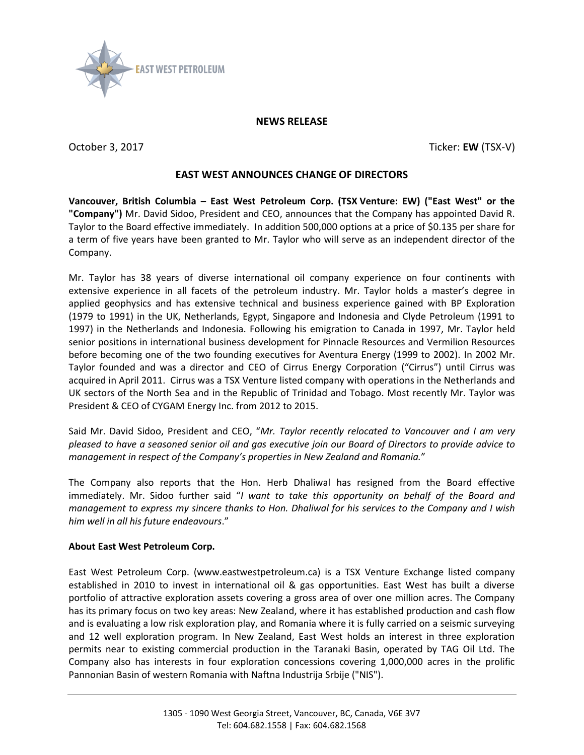

## **NEWS RELEASE**

October 3, 2017 Ticker: **EW** (TSX-V)

## **EAST WEST ANNOUNCES CHANGE OF DIRECTORS**

**Vancouver, British Columbia – East West Petroleum Corp. (TSX Venture: EW) ("East West" or the "Company")** Mr. David Sidoo, President and CEO, announces that the Company has appointed David R. Taylor to the Board effective immediately. In addition 500,000 options at a price of \$0.135 per share for a term of five years have been granted to Mr. Taylor who will serve as an independent director of the Company.

Mr. Taylor has 38 years of diverse international oil company experience on four continents with extensive experience in all facets of the petroleum industry. Mr. Taylor holds a master's degree in applied geophysics and has extensive technical and business experience gained with BP Exploration (1979 to 1991) in the UK, Netherlands, Egypt, Singapore and Indonesia and Clyde Petroleum (1991 to 1997) in the Netherlands and Indonesia. Following his emigration to Canada in 1997, Mr. Taylor held senior positions in international business development for Pinnacle Resources and Vermilion Resources before becoming one of the two founding executives for Aventura Energy (1999 to 2002). In 2002 Mr. Taylor founded and was a director and CEO of Cirrus Energy Corporation ("Cirrus") until Cirrus was acquired in April 2011. Cirrus was a TSX Venture listed company with operations in the Netherlands and UK sectors of the North Sea and in the Republic of Trinidad and Tobago. Most recently Mr. Taylor was President & CEO of CYGAM Energy Inc. from 2012 to 2015.

Said Mr. David Sidoo, President and CEO, "*Mr. Taylor recently relocated to Vancouver and I am very pleased to have a seasoned senior oil and gas executive join our Board of Directors to provide advice to management in respect of the Company's properties in New Zealand and Romania.*"

The Company also reports that the Hon. Herb Dhaliwal has resigned from the Board effective immediately. Mr. Sidoo further said "*I want to take this opportunity on behalf of the Board and management to express my sincere thanks to Hon. Dhaliwal for his services to the Company and I wish him well in all his future endeavours*."

## **About East West Petroleum Corp.**

East West Petroleum Corp. (www.eastwestpetroleum.ca) is a TSX Venture Exchange listed company established in 2010 to invest in international oil & gas opportunities. East West has built a diverse portfolio of attractive exploration assets covering a gross area of over one million acres. The Company has its primary focus on two key areas: New Zealand, where it has established production and cash flow and is evaluating a low risk exploration play, and Romania where it is fully carried on a seismic surveying and 12 well exploration program. In New Zealand, East West holds an interest in three exploration permits near to existing commercial production in the Taranaki Basin, operated by TAG Oil Ltd. The Company also has interests in four exploration concessions covering 1,000,000 acres in the prolific Pannonian Basin of western Romania with Naftna Industrija Srbije ("NIS").